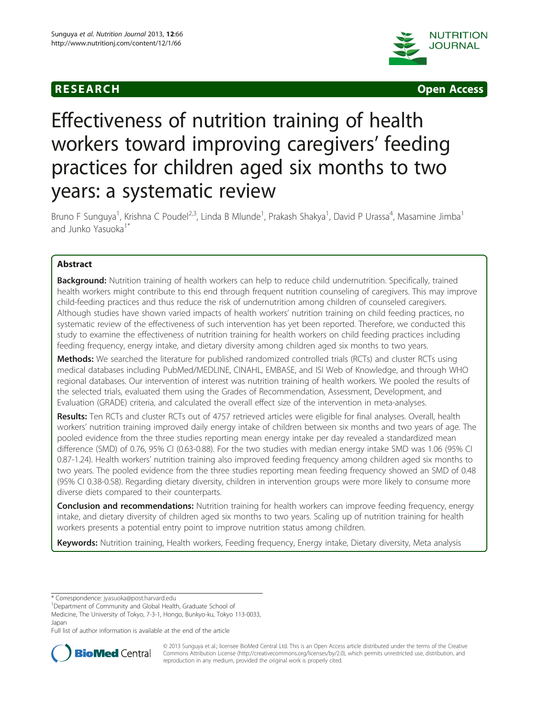



# Effectiveness of nutrition training of health workers toward improving caregivers' feeding practices for children aged six months to two years: a systematic review

Bruno F Sunguya<sup>1</sup>, Krishna C Poudel<sup>2,3</sup>, Linda B Mlunde<sup>1</sup>, Prakash Shakya<sup>1</sup>, David P Urassa<sup>4</sup>, Masamine Jimba<sup>1</sup> and Junko Yasuoka<sup>1</sup>

# Abstract

Background: Nutrition training of health workers can help to reduce child undernutrition. Specifically, trained health workers might contribute to this end through frequent nutrition counseling of caregivers. This may improve child-feeding practices and thus reduce the risk of undernutrition among children of counseled caregivers. Although studies have shown varied impacts of health workers' nutrition training on child feeding practices, no systematic review of the effectiveness of such intervention has yet been reported. Therefore, we conducted this study to examine the effectiveness of nutrition training for health workers on child feeding practices including feeding frequency, energy intake, and dietary diversity among children aged six months to two years.

**Methods:** We searched the literature for published randomized controlled trials (RCTs) and cluster RCTs using medical databases including PubMed/MEDLINE, CINAHL, EMBASE, and ISI Web of Knowledge, and through WHO regional databases. Our intervention of interest was nutrition training of health workers. We pooled the results of the selected trials, evaluated them using the Grades of Recommendation, Assessment, Development, and Evaluation (GRADE) criteria, and calculated the overall effect size of the intervention in meta-analyses.

Results: Ten RCTs and cluster RCTs out of 4757 retrieved articles were eligible for final analyses. Overall, health workers' nutrition training improved daily energy intake of children between six months and two years of age. The pooled evidence from the three studies reporting mean energy intake per day revealed a standardized mean difference (SMD) of 0.76, 95% CI (0.63-0.88). For the two studies with median energy intake SMD was 1.06 (95% CI 0.87-1.24). Health workers' nutrition training also improved feeding frequency among children aged six months to two years. The pooled evidence from the three studies reporting mean feeding frequency showed an SMD of 0.48 (95% CI 0.38-0.58). Regarding dietary diversity, children in intervention groups were more likely to consume more diverse diets compared to their counterparts.

**Conclusion and recommendations:** Nutrition training for health workers can improve feeding frequency, energy intake, and dietary diversity of children aged six months to two years. Scaling up of nutrition training for health workers presents a potential entry point to improve nutrition status among children.

Keywords: Nutrition training, Health workers, Feeding frequency, Energy intake, Dietary diversity, Meta analysis

\* Correspondence: [jyasuoka@post.harvard.edu](mailto:jyasuoka@post.harvard.edu) <sup>1</sup>

<sup>1</sup>Department of Community and Global Health, Graduate School of Medicine, The University of Tokyo, 7-3-1, Hongo, Bunkyo-ku, Tokyo 113-0033,

Japan

Full list of author information is available at the end of the article



© 2013 Sunguya et al.; licensee BioMed Central Ltd. This is an Open Access article distributed under the terms of the Creative Commons Attribution License [\(http://creativecommons.org/licenses/by/2.0\)](http://creativecommons.org/licenses/by/2.0), which permits unrestricted use, distribution, and reproduction in any medium, provided the original work is properly cited.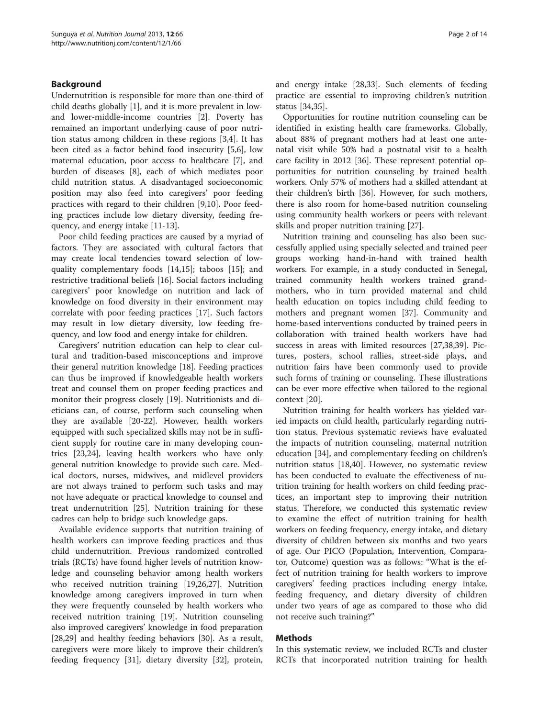### Background

Undernutrition is responsible for more than one-third of child deaths globally [[1\]](#page-12-0), and it is more prevalent in lowand lower-middle-income countries [[2\]](#page-12-0). Poverty has remained an important underlying cause of poor nutrition status among children in these regions [[3,4\]](#page-12-0). It has been cited as a factor behind food insecurity [[5](#page-12-0),[6\]](#page-12-0), low maternal education, poor access to healthcare [[7\]](#page-12-0), and burden of diseases [\[8](#page-12-0)], each of which mediates poor child nutrition status. A disadvantaged socioeconomic position may also feed into caregivers' poor feeding practices with regard to their children [[9](#page-12-0),[10](#page-12-0)]. Poor feeding practices include low dietary diversity, feeding frequency, and energy intake [[11-13\]](#page-12-0).

Poor child feeding practices are caused by a myriad of factors. They are associated with cultural factors that may create local tendencies toward selection of lowquality complementary foods [\[14,15](#page-12-0)]; taboos [\[15](#page-12-0)]; and restrictive traditional beliefs [[16\]](#page-12-0). Social factors including caregivers' poor knowledge on nutrition and lack of knowledge on food diversity in their environment may correlate with poor feeding practices [\[17](#page-12-0)]. Such factors may result in low dietary diversity, low feeding frequency, and low food and energy intake for children.

Caregivers' nutrition education can help to clear cultural and tradition-based misconceptions and improve their general nutrition knowledge [\[18](#page-12-0)]. Feeding practices can thus be improved if knowledgeable health workers treat and counsel them on proper feeding practices and monitor their progress closely [\[19\]](#page-12-0). Nutritionists and dieticians can, of course, perform such counseling when they are available [\[20](#page-12-0)-[22\]](#page-12-0). However, health workers equipped with such specialized skills may not be in sufficient supply for routine care in many developing countries [\[23,24\]](#page-12-0), leaving health workers who have only general nutrition knowledge to provide such care. Medical doctors, nurses, midwives, and midlevel providers are not always trained to perform such tasks and may not have adequate or practical knowledge to counsel and treat undernutrition [\[25\]](#page-12-0). Nutrition training for these cadres can help to bridge such knowledge gaps.

Available evidence supports that nutrition training of health workers can improve feeding practices and thus child undernutrition. Previous randomized controlled trials (RCTs) have found higher levels of nutrition knowledge and counseling behavior among health workers who received nutrition training [\[19,26,27\]](#page-12-0). Nutrition knowledge among caregivers improved in turn when they were frequently counseled by health workers who received nutrition training [[19\]](#page-12-0). Nutrition counseling also improved caregivers' knowledge in food preparation [[28,29\]](#page-12-0) and healthy feeding behaviors [\[30](#page-12-0)]. As a result, caregivers were more likely to improve their children's feeding frequency [[31\]](#page-12-0), dietary diversity [\[32\]](#page-13-0), protein,

and energy intake [\[28,](#page-12-0)[33\]](#page-13-0). Such elements of feeding practice are essential to improving children's nutrition status [\[34,35](#page-13-0)].

Opportunities for routine nutrition counseling can be identified in existing health care frameworks. Globally, about 88% of pregnant mothers had at least one antenatal visit while 50% had a postnatal visit to a health care facility in 2012 [\[36\]](#page-13-0). These represent potential opportunities for nutrition counseling by trained health workers. Only 57% of mothers had a skilled attendant at their children's birth [[36\]](#page-13-0). However, for such mothers, there is also room for home-based nutrition counseling using community health workers or peers with relevant skills and proper nutrition training [\[27](#page-12-0)].

Nutrition training and counseling has also been successfully applied using specially selected and trained peer groups working hand-in-hand with trained health workers. For example, in a study conducted in Senegal, trained community health workers trained grandmothers, who in turn provided maternal and child health education on topics including child feeding to mothers and pregnant women [\[37](#page-13-0)]. Community and home-based interventions conducted by trained peers in collaboration with trained health workers have had success in areas with limited resources [\[27,](#page-12-0)[38,39\]](#page-13-0). Pictures, posters, school rallies, street-side plays, and nutrition fairs have been commonly used to provide such forms of training or counseling. These illustrations can be ever more effective when tailored to the regional context [\[20](#page-12-0)].

Nutrition training for health workers has yielded varied impacts on child health, particularly regarding nutrition status. Previous systematic reviews have evaluated the impacts of nutrition counseling, maternal nutrition education [[34\]](#page-13-0), and complementary feeding on children's nutrition status [[18](#page-12-0),[40](#page-13-0)]. However, no systematic review has been conducted to evaluate the effectiveness of nutrition training for health workers on child feeding practices, an important step to improving their nutrition status. Therefore, we conducted this systematic review to examine the effect of nutrition training for health workers on feeding frequency, energy intake, and dietary diversity of children between six months and two years of age. Our PICO (Population, Intervention, Comparator, Outcome) question was as follows: "What is the effect of nutrition training for health workers to improve caregivers' feeding practices including energy intake, feeding frequency, and dietary diversity of children under two years of age as compared to those who did not receive such training?"

#### Methods

In this systematic review, we included RCTs and cluster RCTs that incorporated nutrition training for health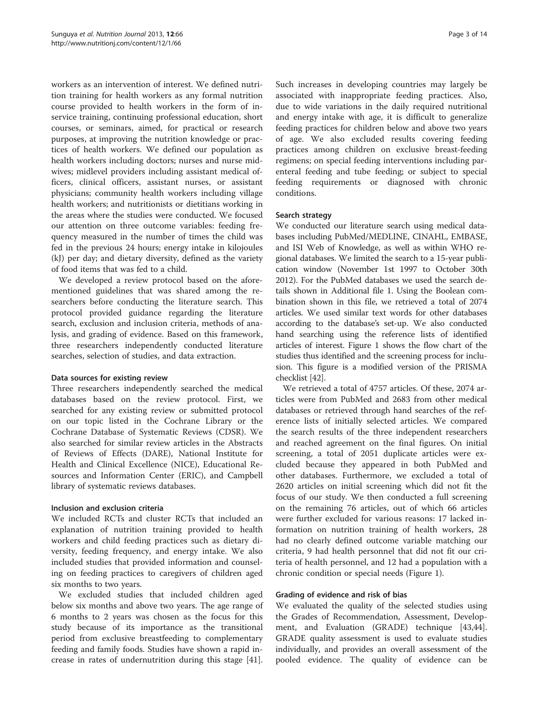workers as an intervention of interest. We defined nutrition training for health workers as any formal nutrition course provided to health workers in the form of inservice training, continuing professional education, short courses, or seminars, aimed, for practical or research purposes, at improving the nutrition knowledge or practices of health workers. We defined our population as health workers including doctors; nurses and nurse midwives; midlevel providers including assistant medical officers, clinical officers, assistant nurses, or assistant physicians; community health workers including village health workers; and nutritionists or dietitians working in the areas where the studies were conducted. We focused our attention on three outcome variables: feeding frequency measured in the number of times the child was fed in the previous 24 hours; energy intake in kilojoules (kJ) per day; and dietary diversity, defined as the variety of food items that was fed to a child.

We developed a review protocol based on the aforementioned guidelines that was shared among the researchers before conducting the literature search. This protocol provided guidance regarding the literature search, exclusion and inclusion criteria, methods of analysis, and grading of evidence. Based on this framework, three researchers independently conducted literature searches, selection of studies, and data extraction.

#### Data sources for existing review

Three researchers independently searched the medical databases based on the review protocol. First, we searched for any existing review or submitted protocol on our topic listed in the Cochrane Library or the Cochrane Database of Systematic Reviews (CDSR). We also searched for similar review articles in the Abstracts of Reviews of Effects (DARE), National Institute for Health and Clinical Excellence (NICE), Educational Resources and Information Center (ERIC), and Campbell library of systematic reviews databases.

#### Inclusion and exclusion criteria

We included RCTs and cluster RCTs that included an explanation of nutrition training provided to health workers and child feeding practices such as dietary diversity, feeding frequency, and energy intake. We also included studies that provided information and counseling on feeding practices to caregivers of children aged six months to two years.

We excluded studies that included children aged below six months and above two years. The age range of 6 months to 2 years was chosen as the focus for this study because of its importance as the transitional period from exclusive breastfeeding to complementary feeding and family foods. Studies have shown a rapid increase in rates of undernutrition during this stage [\[41](#page-13-0)]. Such increases in developing countries may largely be associated with inappropriate feeding practices. Also, due to wide variations in the daily required nutritional and energy intake with age, it is difficult to generalize feeding practices for children below and above two years of age. We also excluded results covering feeding practices among children on exclusive breast-feeding regimens; on special feeding interventions including parenteral feeding and tube feeding; or subject to special feeding requirements or diagnosed with chronic conditions.

#### Search strategy

We conducted our literature search using medical databases including PubMed/MEDLINE, CINAHL, EMBASE, and ISI Web of Knowledge, as well as within WHO regional databases. We limited the search to a 15-year publication window (November 1st 1997 to October 30th 2012). For the PubMed databases we used the search details shown in Additional file [1.](#page-12-0) Using the Boolean combination shown in this file, we retrieved a total of 2074 articles. We used similar text words for other databases according to the database's set-up. We also conducted hand searching using the reference lists of identified articles of interest. Figure [1](#page-3-0) shows the flow chart of the studies thus identified and the screening process for inclusion. This figure is a modified version of the PRISMA checklist [\[42\]](#page-13-0).

We retrieved a total of 4757 articles. Of these, 2074 articles were from PubMed and 2683 from other medical databases or retrieved through hand searches of the reference lists of initially selected articles. We compared the search results of the three independent researchers and reached agreement on the final figures. On initial screening, a total of 2051 duplicate articles were excluded because they appeared in both PubMed and other databases. Furthermore, we excluded a total of 2620 articles on initial screening which did not fit the focus of our study. We then conducted a full screening on the remaining 76 articles, out of which 66 articles were further excluded for various reasons: 17 lacked information on nutrition training of health workers, 28 had no clearly defined outcome variable matching our criteria, 9 had health personnel that did not fit our criteria of health personnel, and 12 had a population with a chronic condition or special needs (Figure [1](#page-3-0)).

#### Grading of evidence and risk of bias

We evaluated the quality of the selected studies using the Grades of Recommendation, Assessment, Development, and Evaluation (GRADE) technique [\[43,44](#page-13-0)]. GRADE quality assessment is used to evaluate studies individually, and provides an overall assessment of the pooled evidence. The quality of evidence can be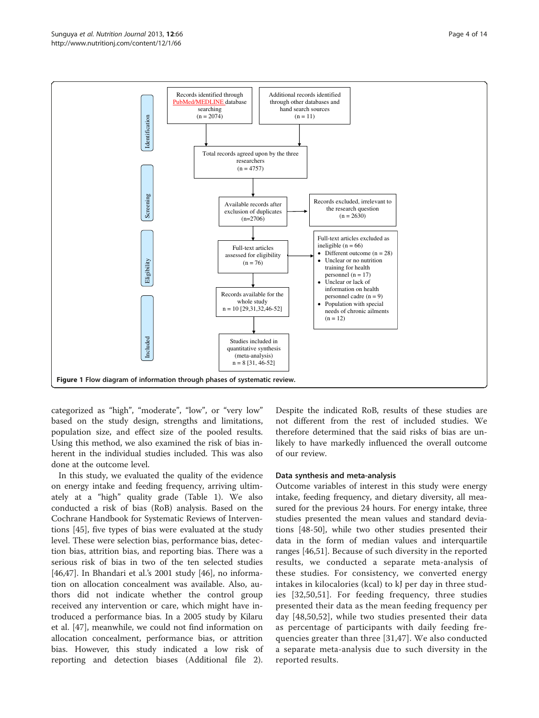<span id="page-3-0"></span>

categorized as "high", "moderate", "low", or "very low" based on the study design, strengths and limitations, population size, and effect size of the pooled results. Using this method, we also examined the risk of bias inherent in the individual studies included. This was also done at the outcome level.

In this study, we evaluated the quality of the evidence on energy intake and feeding frequency, arriving ultimately at a "high" quality grade (Table [1](#page-4-0)). We also conducted a risk of bias (RoB) analysis. Based on the Cochrane Handbook for Systematic Reviews of Interventions [[45](#page-13-0)], five types of bias were evaluated at the study level. These were selection bias, performance bias, detection bias, attrition bias, and reporting bias. There was a serious risk of bias in two of the ten selected studies [[46,47\]](#page-13-0). In Bhandari et al.'s 2001 study [\[46](#page-13-0)], no information on allocation concealment was available. Also, authors did not indicate whether the control group received any intervention or care, which might have introduced a performance bias. In a 2005 study by Kilaru et al. [\[47\]](#page-13-0), meanwhile, we could not find information on allocation concealment, performance bias, or attrition bias. However, this study indicated a low risk of reporting and detection biases (Additional file [2](#page-12-0)).

Despite the indicated RoB, results of these studies are not different from the rest of included studies. We therefore determined that the said risks of bias are unlikely to have markedly influenced the overall outcome of our review.

#### Data synthesis and meta-analysis

Outcome variables of interest in this study were energy intake, feeding frequency, and dietary diversity, all measured for the previous 24 hours. For energy intake, three studies presented the mean values and standard deviations [\[48-50](#page-13-0)], while two other studies presented their data in the form of median values and interquartile ranges [\[46,51\]](#page-13-0). Because of such diversity in the reported results, we conducted a separate meta-analysis of these studies. For consistency, we converted energy intakes in kilocalories (kcal) to kJ per day in three studies [[32,50](#page-13-0),[51\]](#page-13-0). For feeding frequency, three studies presented their data as the mean feeding frequency per day [[48,50](#page-13-0),[52\]](#page-13-0), while two studies presented their data as percentage of participants with daily feeding frequencies greater than three [[31,](#page-12-0)[47](#page-13-0)]. We also conducted a separate meta-analysis due to such diversity in the reported results.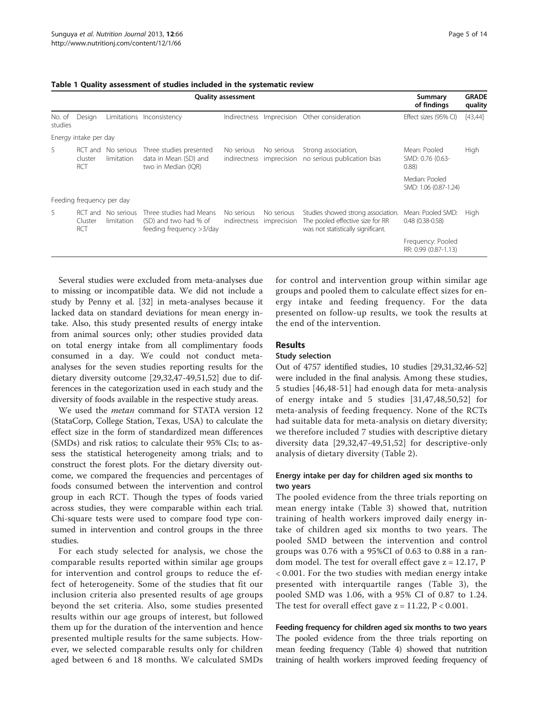<span id="page-4-0"></span>

| Table 1 Quality assessment of studies included in the systematic review |  |  |
|-------------------------------------------------------------------------|--|--|
|-------------------------------------------------------------------------|--|--|

|                   |                                  |                          | Summary<br>of findings                                                       | <b>GRADE</b><br>quality    |                           |                                                                                                              |                                            |          |
|-------------------|----------------------------------|--------------------------|------------------------------------------------------------------------------|----------------------------|---------------------------|--------------------------------------------------------------------------------------------------------------|--------------------------------------------|----------|
| No. of<br>studies | Design                           |                          | Limitations Inconsistency                                                    |                            |                           | Indirectness Imprecision Other consideration                                                                 | Effect sizes (95% CI)                      | [43, 44] |
|                   | Energy intake per day            |                          |                                                                              |                            |                           |                                                                                                              |                                            |          |
| 5                 | RCT and<br>cluster<br><b>RCT</b> | No serious<br>limitation | Three studies presented<br>data in Mean (SD) and<br>two in Median (IQR)      | No serious                 | No serious                | Strong association,<br>indirectness imprecision no serious publication bias                                  | Mean: Pooled<br>SMD: 0.76 (0.63-<br>(0.88) | High     |
|                   |                                  |                          |                                                                              |                            |                           |                                                                                                              | Median: Pooled<br>SMD: 1.06 (0.87-1.24)    |          |
|                   | Feeding frequency per day        |                          |                                                                              |                            |                           |                                                                                                              |                                            |          |
| 5.                | RCT and<br>Cluster<br>RCT        | No serious<br>limitation | Three studies had Means<br>(SD) and two had % of<br>feeding frequency >3/day | No serious<br>indirectness | No serious<br>imprecision | Studies showed strong association.<br>The pooled effective size for RR<br>was not statistically significant. | Mean: Pooled SMD:<br>$0.48(0.38 - 0.58)$   | High     |
|                   |                                  |                          |                                                                              |                            |                           |                                                                                                              | Frequency: Pooled<br>RR: 0.99 (0.87-1.13)  |          |

Several studies were excluded from meta-analyses due to missing or incompatible data. We did not include a study by Penny et al. [\[32](#page-13-0)] in meta-analyses because it lacked data on standard deviations for mean energy intake. Also, this study presented results of energy intake from animal sources only; other studies provided data on total energy intake from all complimentary foods consumed in a day. We could not conduct metaanalyses for the seven studies reporting results for the dietary diversity outcome [\[29](#page-12-0)[,32,47-49](#page-13-0),[51,52](#page-13-0)] due to differences in the categorization used in each study and the diversity of foods available in the respective study areas.

We used the metan command for STATA version 12 (StataCorp, College Station, Texas, USA) to calculate the effect size in the form of standardized mean differences (SMDs) and risk ratios; to calculate their 95% CIs; to assess the statistical heterogeneity among trials; and to construct the forest plots. For the dietary diversity outcome, we compared the frequencies and percentages of foods consumed between the intervention and control group in each RCT. Though the types of foods varied across studies, they were comparable within each trial. Chi-square tests were used to compare food type consumed in intervention and control groups in the three studies.

For each study selected for analysis, we chose the comparable results reported within similar age groups for intervention and control groups to reduce the effect of heterogeneity. Some of the studies that fit our inclusion criteria also presented results of age groups beyond the set criteria. Also, some studies presented results within our age groups of interest, but followed them up for the duration of the intervention and hence presented multiple results for the same subjects. However, we selected comparable results only for children aged between 6 and 18 months. We calculated SMDs for control and intervention group within similar age groups and pooled them to calculate effect sizes for energy intake and feeding frequency. For the data presented on follow-up results, we took the results at the end of the intervention.

#### Results

#### Study selection

Out of 4757 identified studies, 10 studies [\[29,31,](#page-12-0)[32,46-52](#page-13-0)] were included in the final analysis. Among these studies, 5 studies [[46,48-51\]](#page-13-0) had enough data for meta-analysis of energy intake and 5 studies [[31](#page-12-0)[,47,48,50,52](#page-13-0)] for meta-analysis of feeding frequency. None of the RCTs had suitable data for meta-analysis on dietary diversity; we therefore included 7 studies with descriptive dietary diversity data [\[29,](#page-12-0)[32](#page-13-0),[47-49,51](#page-13-0),[52\]](#page-13-0) for descriptive-only analysis of dietary diversity (Table [2\)](#page-5-0).

#### Energy intake per day for children aged six months to two years

The pooled evidence from the three trials reporting on mean energy intake (Table [3](#page-9-0)) showed that, nutrition training of health workers improved daily energy intake of children aged six months to two years. The pooled SMD between the intervention and control groups was 0.76 with a 95%CI of 0.63 to 0.88 in a random model. The test for overall effect gave  $z = 12.17$ , P < 0.001. For the two studies with median energy intake presented with interquartile ranges (Table [3\)](#page-9-0), the pooled SMD was 1.06, with a 95% CI of 0.87 to 1.24. The test for overall effect gave  $z = 11.22$ ,  $P < 0.001$ .

Feeding frequency for children aged six months to two years The pooled evidence from the three trials reporting on mean feeding frequency (Table [4](#page-9-0)) showed that nutrition training of health workers improved feeding frequency of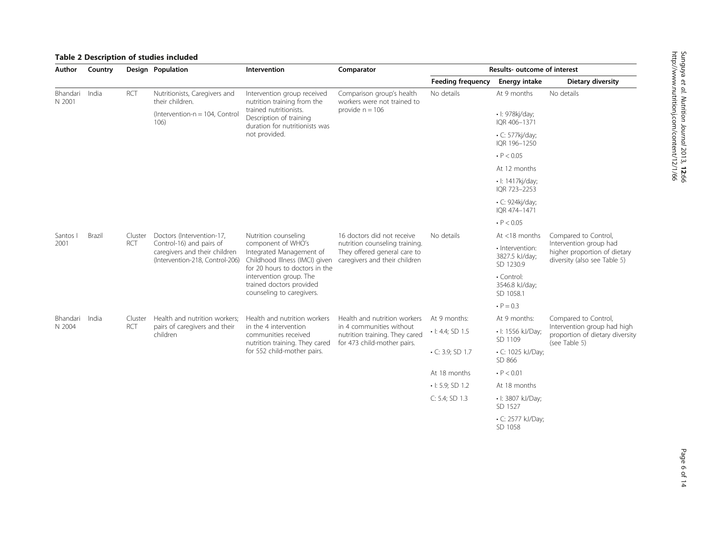# <span id="page-5-0"></span>Table 2 Description of studies included

| Author             | Country |                                            | <b>Design Population</b>                                                                                                  | Intervention                                                                                                                                                                                                                   | Comparator                                                                                                                    | Results- outcome of interest          |                                                 |                                                                                        |
|--------------------|---------|--------------------------------------------|---------------------------------------------------------------------------------------------------------------------------|--------------------------------------------------------------------------------------------------------------------------------------------------------------------------------------------------------------------------------|-------------------------------------------------------------------------------------------------------------------------------|---------------------------------------|-------------------------------------------------|----------------------------------------------------------------------------------------|
|                    |         |                                            |                                                                                                                           |                                                                                                                                                                                                                                |                                                                                                                               | <b>Feeding frequency</b>              | <b>Energy intake</b>                            | <b>Dietary diversity</b>                                                               |
| Bhandari<br>N 2001 | India   | <b>RCT</b>                                 | Nutritionists, Caregivers and<br>their children.                                                                          | Intervention group received<br>nutrition training from the                                                                                                                                                                     | Comparison group's health<br>workers were not trained to                                                                      | No details                            | At 9 months                                     | No details                                                                             |
|                    |         | (Intervention- $n = 104$ , Control<br>106) | trained nutritionists.<br>Description of training<br>duration for nutritionists was                                       | provide $n = 106$                                                                                                                                                                                                              |                                                                                                                               | • I: 978kj/day;<br>IQR 406-1371       |                                                 |                                                                                        |
|                    |         |                                            | not provided.                                                                                                             |                                                                                                                                                                                                                                |                                                                                                                               | $\cdot$ C: 577kj/day;<br>IQR 196-1250 |                                                 |                                                                                        |
|                    |         |                                            |                                                                                                                           |                                                                                                                                                                                                                                |                                                                                                                               |                                       | $\cdot$ P < 0.05                                |                                                                                        |
|                    |         |                                            |                                                                                                                           |                                                                                                                                                                                                                                |                                                                                                                               | At 12 months                          |                                                 |                                                                                        |
|                    |         |                                            |                                                                                                                           |                                                                                                                                                                                                                                |                                                                                                                               |                                       | · I: 1417kj/day;<br>IQR 723-2253                |                                                                                        |
|                    |         |                                            |                                                                                                                           |                                                                                                                                                                                                                                |                                                                                                                               | $\cdot$ C: 924kj/day;<br>IQR 474-1471 |                                                 |                                                                                        |
|                    |         |                                            |                                                                                                                           |                                                                                                                                                                                                                                |                                                                                                                               | $\cdot$ P < 0.05                      |                                                 |                                                                                        |
| Santos I           | Brazil  | Cluster<br>RCT                             | Doctors (Intervention-17,<br>Control-16) and pairs of<br>caregivers and their children<br>(Intervention-218, Control-206) | Nutrition counseling<br>component of WHO's<br>Integrated Management of<br>Childhood Illness (IMCI) given<br>for 20 hours to doctors in the<br>intervention group. The<br>trained doctors provided<br>counseling to caregivers. | 16 doctors did not receive<br>nutrition counseling training.<br>They offered general care to<br>caregivers and their children | No details                            | At $<$ 18 months                                | Compared to Control,                                                                   |
| 2001               |         |                                            |                                                                                                                           |                                                                                                                                                                                                                                |                                                                                                                               |                                       | • Intervention:<br>3827.5 kJ/day;<br>SD 1230.9  | Intervention group had<br>higher proportion of dietary<br>diversity (also see Table 5) |
|                    |         |                                            |                                                                                                                           |                                                                                                                                                                                                                                |                                                                                                                               |                                       | $\cdot$ Control:<br>3546.8 kJ/day;<br>SD 1058.1 |                                                                                        |
|                    |         |                                            |                                                                                                                           |                                                                                                                                                                                                                                |                                                                                                                               |                                       | • $P = 0.3$                                     |                                                                                        |
| Bhandari           | India   | Cluster<br><b>RCT</b>                      | Health and nutrition workers:<br>pairs of caregivers and their<br>children                                                | Health and nutrition workers<br>in the 4 intervention<br>communities received<br>nutrition training. They cared                                                                                                                | Health and nutrition workers<br>in 4 communities without<br>nutrition training. They cared<br>for 473 child-mother pairs.     | At 9 months:                          | At 9 months:                                    | Compared to Control,                                                                   |
| N 2004             |         |                                            |                                                                                                                           |                                                                                                                                                                                                                                |                                                                                                                               | $\cdot$ I: 4.4; SD 1.5                | · I: 1556 kJ/Day;<br>SD 1109                    | Intervention group had high<br>proportion of dietary diversity<br>(see Table 5)        |
|                    |         |                                            |                                                                                                                           | for 552 child-mother pairs.                                                                                                                                                                                                    |                                                                                                                               | $\cdot$ C: 3.9; SD 1.7                | • C: 1025 kJ/Day;<br>SD 866                     |                                                                                        |
|                    |         |                                            |                                                                                                                           |                                                                                                                                                                                                                                |                                                                                                                               | At 18 months                          | $\cdot$ P < 0.01                                |                                                                                        |
|                    |         |                                            |                                                                                                                           |                                                                                                                                                                                                                                | $\cdot$ l: 5.9; SD 1.2                                                                                                        | At 18 months                          |                                                 |                                                                                        |
|                    |         |                                            |                                                                                                                           |                                                                                                                                                                                                                                |                                                                                                                               | C: 5.4; SD 1.3                        | • I: 3807 kJ/Day;<br>SD 1527                    |                                                                                        |
|                    |         |                                            |                                                                                                                           |                                                                                                                                                                                                                                |                                                                                                                               |                                       | • C: 2577 kJ/Day;<br>SD 1058                    |                                                                                        |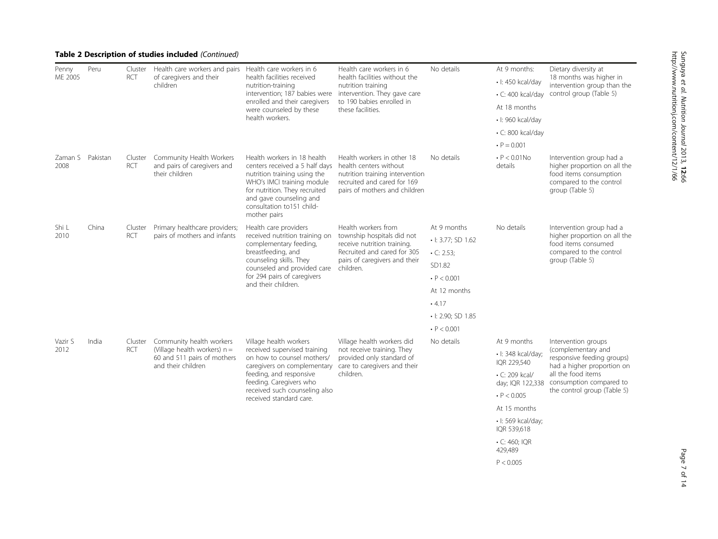# Table 2 Description of studies included (Continued)

| Penny                    | Peru  | Cluster               | Health care workers and pairs<br>of caregivers and their<br>children                                            | Health care workers in 6<br>health facilities received<br>nutrition-training<br>intervention; 187 babies were<br>enrolled and their caregivers<br>were counseled by these                                                            | Health care workers in 6                                                                                                                                      | No details                              | At 9 months:                             | Dietary diversity at                                                                                                             |
|--------------------------|-------|-----------------------|-----------------------------------------------------------------------------------------------------------------|--------------------------------------------------------------------------------------------------------------------------------------------------------------------------------------------------------------------------------------|---------------------------------------------------------------------------------------------------------------------------------------------------------------|-----------------------------------------|------------------------------------------|----------------------------------------------------------------------------------------------------------------------------------|
| ME 2005                  |       | <b>RCT</b>            |                                                                                                                 |                                                                                                                                                                                                                                      | health facilities without the<br>nutrition training                                                                                                           |                                         | $\cdot$ I: 450 kcal/day                  | 18 months was higher in<br>intervention group than the                                                                           |
|                          |       |                       |                                                                                                                 |                                                                                                                                                                                                                                      | intervention. They gave care                                                                                                                                  |                                         | $\cdot$ C: 400 kcal/day                  | control group (Table 5)                                                                                                          |
|                          |       |                       |                                                                                                                 |                                                                                                                                                                                                                                      | to 190 babies enrolled in<br>these facilities.                                                                                                                |                                         | At 18 months                             |                                                                                                                                  |
|                          |       |                       |                                                                                                                 | health workers.                                                                                                                                                                                                                      |                                                                                                                                                               |                                         | · I: 960 kcal/day                        |                                                                                                                                  |
|                          |       |                       |                                                                                                                 |                                                                                                                                                                                                                                      |                                                                                                                                                               |                                         | $\cdot$ C: 800 kcal/day                  |                                                                                                                                  |
|                          |       |                       |                                                                                                                 |                                                                                                                                                                                                                                      |                                                                                                                                                               | $\cdot$ P = 0.001                       |                                          |                                                                                                                                  |
| Zaman S Pakistan<br>2008 |       | Cluster<br><b>RCT</b> | Community Health Workers<br>and pairs of caregivers and<br>their children                                       | Health workers in 18 health<br>centers received a 5 half days<br>nutrition training using the<br>WHO's IMCI training module<br>for nutrition. They recruited<br>and gave counseling and<br>consultation to151 child-<br>mother pairs | Health workers in other 18<br>health centers without<br>nutrition training intervention<br>recruited and cared for 169<br>pairs of mothers and children       | No details                              | $\cdot$ P < 0.01No<br>details            | Intervention group had a<br>higher proportion on all the<br>food items consumption<br>compared to the control<br>group (Table 5) |
| Shi L                    | China | Cluster               | Primary healthcare providers;<br>pairs of mothers and infants                                                   | Health care providers<br>received nutrition training on<br>complementary feeding,<br>breastfeeding, and<br>counseling skills. They<br>counseled and provided care<br>for 294 pairs of caregivers<br>and their children.              | Health workers from<br>township hospitals did not<br>receive nutrition training.<br>Recruited and cared for 305<br>pairs of caregivers and their<br>children. | At 9 months                             | No details                               | Intervention group had a<br>higher proportion on all the<br>food items consumed<br>compared to the control<br>group (Table 5)    |
| 2010                     |       | <b>RCT</b>            |                                                                                                                 |                                                                                                                                                                                                                                      |                                                                                                                                                               | $\cdot$ l: 3.77; SD 1.62                |                                          |                                                                                                                                  |
|                          |       |                       |                                                                                                                 |                                                                                                                                                                                                                                      |                                                                                                                                                               | $\cdot$ C: 2.53;                        |                                          |                                                                                                                                  |
|                          |       |                       |                                                                                                                 |                                                                                                                                                                                                                                      |                                                                                                                                                               | SD1.82                                  |                                          |                                                                                                                                  |
|                          |       |                       |                                                                                                                 |                                                                                                                                                                                                                                      |                                                                                                                                                               | $\cdot$ P < 0.001                       |                                          |                                                                                                                                  |
|                          |       |                       |                                                                                                                 |                                                                                                                                                                                                                                      |                                                                                                                                                               | At 12 months                            |                                          |                                                                                                                                  |
|                          |       |                       |                                                                                                                 |                                                                                                                                                                                                                                      |                                                                                                                                                               | .4.17                                   |                                          |                                                                                                                                  |
|                          |       |                       |                                                                                                                 |                                                                                                                                                                                                                                      |                                                                                                                                                               | $\cdot$ l: 2.90; SD 1.85                |                                          |                                                                                                                                  |
|                          |       |                       |                                                                                                                 |                                                                                                                                                                                                                                      |                                                                                                                                                               | $\cdot$ P < 0.001                       |                                          |                                                                                                                                  |
| Vazir S                  | India | Cluster<br><b>RCT</b> | Community health workers<br>(Village health workers) $n =$<br>60 and 511 pairs of mothers<br>and their children | Village health workers                                                                                                                                                                                                               | Village health workers did                                                                                                                                    | No details                              | At 9 months                              | Intervention groups                                                                                                              |
| 2012                     |       |                       |                                                                                                                 | received supervised training<br>on how to counsel mothers/<br>caregivers on complementary<br>feeding, and responsive<br>feeding. Caregivers who                                                                                      | not receive training. They<br>provided only standard of<br>care to caregivers and their<br>children.                                                          |                                         | · I: 348 kcal/day;<br>IQR 229,540        | (complementary and<br>responsive feeding groups)<br>had a higher proportion on                                                   |
|                          |       |                       |                                                                                                                 |                                                                                                                                                                                                                                      |                                                                                                                                                               |                                         | $\cdot$ C: 209 kcal/<br>day; IQR 122,338 | all the food items<br>consumption compared to                                                                                    |
|                          |       |                       |                                                                                                                 | received such counseling also<br>received standard care.                                                                                                                                                                             |                                                                                                                                                               |                                         | $\cdot$ P < 0.005                        | the control group (Table 5)                                                                                                      |
|                          |       |                       |                                                                                                                 |                                                                                                                                                                                                                                      |                                                                                                                                                               |                                         | At 15 months                             |                                                                                                                                  |
|                          |       |                       |                                                                                                                 |                                                                                                                                                                                                                                      |                                                                                                                                                               | $\cdot$ I: 569 kcal/day;<br>IQR 539,618 |                                          |                                                                                                                                  |
|                          |       |                       |                                                                                                                 |                                                                                                                                                                                                                                      |                                                                                                                                                               |                                         | $\cdot$ C: 460; IQR<br>429,489           |                                                                                                                                  |
|                          |       |                       |                                                                                                                 |                                                                                                                                                                                                                                      |                                                                                                                                                               | P < 0.005                               |                                          |                                                                                                                                  |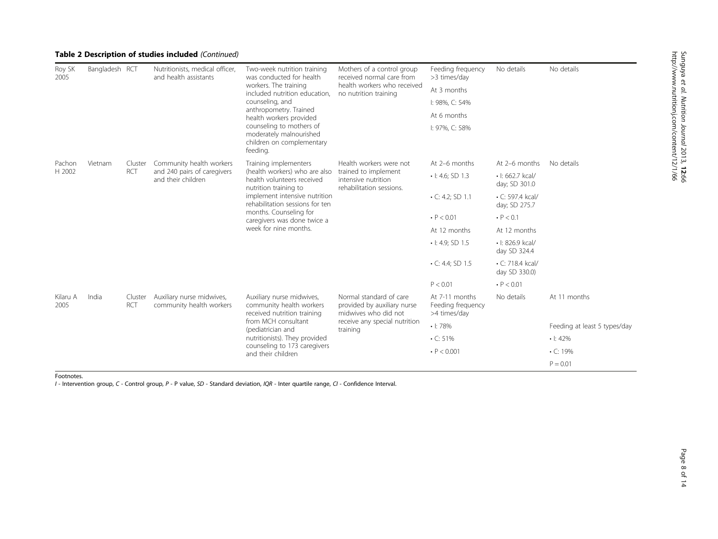# Table 2 Description of studies included (Continued)

| Roy SK<br>2005              | Bangladesh RCT |                          | Nutritionists, medical officer,<br>and health assistants                                     | Two-week nutrition training<br>was conducted for health                                                                                                                                                                                    | Mothers of a control group<br>received normal care from                        | Feeding frequency<br>>3 times/day                   | No details                              | No details                   |
|-----------------------------|----------------|--------------------------|----------------------------------------------------------------------------------------------|--------------------------------------------------------------------------------------------------------------------------------------------------------------------------------------------------------------------------------------------|--------------------------------------------------------------------------------|-----------------------------------------------------|-----------------------------------------|------------------------------|
|                             |                |                          |                                                                                              | workers. The training<br>included nutrition education.                                                                                                                                                                                     | health workers who received<br>no nutrition training                           | At 3 months                                         |                                         |                              |
|                             |                |                          |                                                                                              | counseling, and                                                                                                                                                                                                                            |                                                                                | I: 98%, C: 54%                                      |                                         |                              |
|                             |                |                          |                                                                                              | anthropometry. Trained<br>health workers provided                                                                                                                                                                                          |                                                                                | At 6 months                                         |                                         |                              |
|                             |                |                          | counseling to mothers of<br>moderately malnourished<br>children on complementary<br>feeding. |                                                                                                                                                                                                                                            | I: 97%, C: 58%                                                                 |                                                     |                                         |                              |
| Pachon<br>Vietnam<br>H 2002 | Cluster        | Community health workers | Training implementers                                                                        | Health workers were not                                                                                                                                                                                                                    | At 2-6 months                                                                  | At 2-6 months                                       | No details                              |                              |
|                             |                | <b>RCT</b>               | and 240 pairs of caregivers<br>and their children                                            | (health workers) who are also<br>health volunteers received<br>nutrition training to<br>implement intensive nutrition<br>rehabilitation sessions for ten<br>months. Counseling for<br>caregivers was done twice a<br>week for nine months. | trained to implement<br>intensive nutrition<br>rehabilitation sessions.        | $\cdot$ I: 4.6; SD 1.3                              | $\cdot$ I: 662.7 kcal/<br>day; SD 301.0 |                              |
|                             |                |                          |                                                                                              |                                                                                                                                                                                                                                            |                                                                                | $\cdot$ C: 4.2; SD 1.1                              | $\cdot$ C: 597.4 kcal/<br>day; SD 275.7 |                              |
|                             |                |                          |                                                                                              |                                                                                                                                                                                                                                            |                                                                                | $\cdot$ P < 0.01                                    | $\cdot$ P < 0.1                         |                              |
|                             |                |                          |                                                                                              |                                                                                                                                                                                                                                            |                                                                                | At 12 months                                        | At 12 months                            |                              |
|                             |                |                          |                                                                                              |                                                                                                                                                                                                                                            |                                                                                | $\cdot$ I: 4.9; SD 1.5                              | • I: 826.9 kcal/<br>day SD 324.4        |                              |
|                             |                |                          |                                                                                              |                                                                                                                                                                                                                                            |                                                                                | $\cdot$ C: 4.4; SD 1.5                              | $\cdot$ C: 718.4 kcal/<br>day SD 330.0) |                              |
|                             |                |                          |                                                                                              |                                                                                                                                                                                                                                            |                                                                                | P < 0.01                                            | $\cdot$ P < 0.01                        |                              |
| India<br>Kilaru A<br>2005   |                | Cluster<br><b>RCT</b>    | Auxiliary nurse midwives,<br>community health workers                                        | Auxiliary nurse midwives,<br>community health workers<br>received nutrition training                                                                                                                                                       | Normal standard of care<br>provided by auxiliary nurse<br>midwives who did not | At 7-11 months<br>Feeding frequency<br>>4 times/day | No details                              | At 11 months                 |
|                             |                |                          |                                                                                              | from MCH consultant<br>(pediatrician and                                                                                                                                                                                                   | receive any special nutrition<br>training                                      | $\cdot$ 1:78%                                       |                                         | Feeding at least 5 types/day |
|                             |                |                          |                                                                                              | nutritionists). They provided                                                                                                                                                                                                              |                                                                                | $\cdot$ C: 51%                                      |                                         | $\cdot$  : 42%               |
|                             |                |                          |                                                                                              | counseling to 173 caregivers<br>and their children                                                                                                                                                                                         |                                                                                | $\cdot$ P < 0.001                                   |                                         | $\cdot$ C: 19%               |
|                             |                |                          |                                                                                              |                                                                                                                                                                                                                                            |                                                                                |                                                     |                                         | $P = 0.01$                   |

Footnotes.

I - Intervention group, C - Control group, P - P value, SD - Standard deviation, IQR - Inter quartile range, CI - Confidence Interval.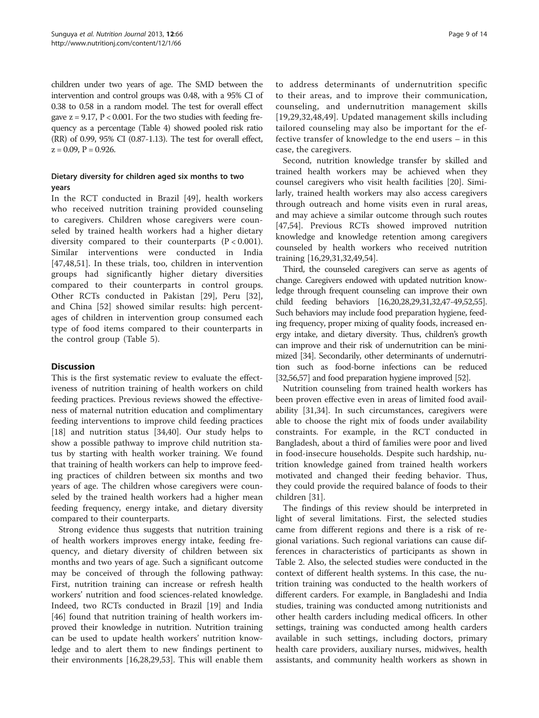children under two years of age. The SMD between the intervention and control groups was 0.48, with a 95% CI of 0.38 to 0.58 in a random model. The test for overall effect gave  $z = 9.17$ ,  $P < 0.001$ . For the two studies with feeding frequency as a percentage (Table [4](#page-9-0)) showed pooled risk ratio (RR) of 0.99, 95% CI (0.87-1.13). The test for overall effect,  $z = 0.09$ ,  $P = 0.926$ .

# Dietary diversity for children aged six months to two years

In the RCT conducted in Brazil [\[49](#page-13-0)], health workers who received nutrition training provided counseling to caregivers. Children whose caregivers were counseled by trained health workers had a higher dietary diversity compared to their counterparts  $(P < 0.001)$ . Similar interventions were conducted in India [[47,48,51](#page-13-0)]. In these trials, too, children in intervention groups had significantly higher dietary diversities compared to their counterparts in control groups. Other RCTs conducted in Pakistan [[29\]](#page-12-0), Peru [\[32](#page-13-0)], and China [[52](#page-13-0)] showed similar results: high percentages of children in intervention group consumed each type of food items compared to their counterparts in the control group (Table [5](#page-10-0)).

### **Discussion**

This is the first systematic review to evaluate the effectiveness of nutrition training of health workers on child feeding practices. Previous reviews showed the effectiveness of maternal nutrition education and complimentary feeding interventions to improve child feeding practices [[18\]](#page-12-0) and nutrition status [\[34,40\]](#page-13-0). Our study helps to show a possible pathway to improve child nutrition status by starting with health worker training. We found that training of health workers can help to improve feeding practices of children between six months and two years of age. The children whose caregivers were counseled by the trained health workers had a higher mean feeding frequency, energy intake, and dietary diversity compared to their counterparts.

Strong evidence thus suggests that nutrition training of health workers improves energy intake, feeding frequency, and dietary diversity of children between six months and two years of age. Such a significant outcome may be conceived of through the following pathway: First, nutrition training can increase or refresh health workers' nutrition and food sciences-related knowledge. Indeed, two RCTs conducted in Brazil [[19](#page-12-0)] and India [[46\]](#page-13-0) found that nutrition training of health workers improved their knowledge in nutrition. Nutrition training can be used to update health workers' nutrition knowledge and to alert them to new findings pertinent to their environments [\[16,28,29](#page-12-0)[,53](#page-13-0)]. This will enable them

to address determinants of undernutrition specific to their areas, and to improve their communication, counseling, and undernutrition management skills [[19](#page-12-0),[29,](#page-12-0)[32](#page-13-0),[48,49](#page-13-0)]. Updated management skills including tailored counseling may also be important for the effective transfer of knowledge to the end users – in this case, the caregivers.

Second, nutrition knowledge transfer by skilled and trained health workers may be achieved when they counsel caregivers who visit health facilities [\[20](#page-12-0)]. Similarly, trained health workers may also access caregivers through outreach and home visits even in rural areas, and may achieve a similar outcome through such routes [[47,54\]](#page-13-0). Previous RCTs showed improved nutrition knowledge and knowledge retention among caregivers counseled by health workers who received nutrition training [[16,29,31](#page-12-0),[32](#page-13-0),[49](#page-13-0),[54](#page-13-0)].

Third, the counseled caregivers can serve as agents of change. Caregivers endowed with updated nutrition knowledge through frequent counseling can improve their own child feeding behaviors [\[16,20,28,29,31](#page-12-0)[,32,47-49,52,55](#page-13-0)]. Such behaviors may include food preparation hygiene, feeding frequency, proper mixing of quality foods, increased energy intake, and dietary diversity. Thus, children's growth can improve and their risk of undernutrition can be minimized [[34](#page-13-0)]. Secondarily, other determinants of undernutrition such as food-borne infections can be reduced [[32,56,57\]](#page-13-0) and food preparation hygiene improved [[52](#page-13-0)].

Nutrition counseling from trained health workers has been proven effective even in areas of limited food availability [[31,](#page-12-0)[34\]](#page-13-0). In such circumstances, caregivers were able to choose the right mix of foods under availability constraints. For example, in the RCT conducted in Bangladesh, about a third of families were poor and lived in food-insecure households. Despite such hardship, nutrition knowledge gained from trained health workers motivated and changed their feeding behavior. Thus, they could provide the required balance of foods to their children [\[31](#page-12-0)].

The findings of this review should be interpreted in light of several limitations. First, the selected studies came from different regions and there is a risk of regional variations. Such regional variations can cause differences in characteristics of participants as shown in Table [2.](#page-5-0) Also, the selected studies were conducted in the context of different health systems. In this case, the nutrition training was conducted to the health workers of different carders. For example, in Bangladeshi and India studies, training was conducted among nutritionists and other health carders including medical officers. In other settings, training was conducted among health carders available in such settings, including doctors, primary health care providers, auxiliary nurses, midwives, health assistants, and community health workers as shown in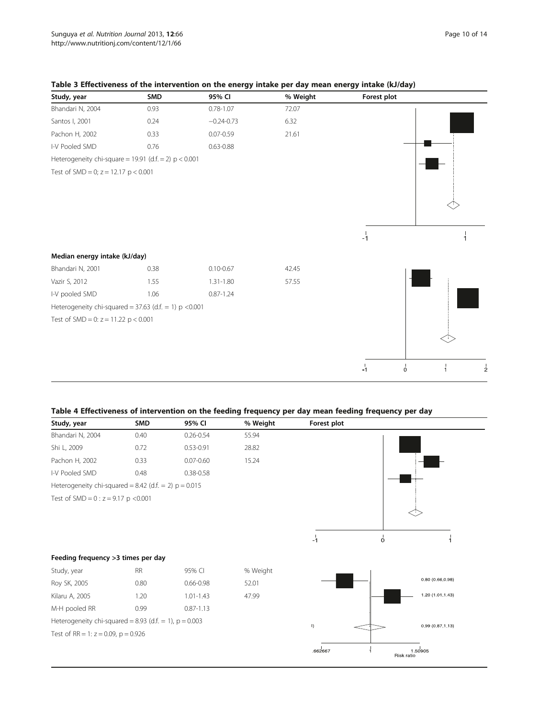| Study, year                                             | <b>SMD</b> | 95% CI         | % Weight | Forest plot |   |
|---------------------------------------------------------|------------|----------------|----------|-------------|---|
| Bhandari N, 2004                                        | 0.93       | $0.78 - 1.07$  | 72.07    |             |   |
| Santos I, 2001                                          | 0.24       | $-0.24 - 0.73$ | 6.32     |             |   |
| Pachon H, 2002                                          | 0.33       | $0.07 - 0.59$  | 21.61    |             |   |
| I-V Pooled SMD                                          | 0.76       | $0.63 - 0.88$  |          |             |   |
| Heterogeneity chi-square = 19.91 (d.f. = 2) $p < 0.001$ |            |                |          |             |   |
| Test of $SMD = 0$ ; $z = 12.17$ p < 0.001               |            |                |          |             |   |
|                                                         |            |                |          | $-1$        | 1 |
| Median energy intake (kJ/day)                           |            |                |          |             |   |
| Bhandari N, 2001                                        | 0.38       | $0.10 - 0.67$  | 42.45    |             |   |
| Vazir S, 2012                                           | 1.55       | $1.31 - 1.80$  | 57.55    |             |   |
| I-V pooled SMD                                          | 1.06       | $0.87 - 1.24$  |          |             |   |
| Heterogeneity chi-squared = $37.63$ (d.f. = 1) p <0.001 |            |                |          |             |   |
| Test of $SMD = 0$ : $z = 11.22$ p < 0.001               |            |                |          |             |   |
|                                                         |            |                |          | Ó<br>-1     |   |

### <span id="page-9-0"></span>Table 3 Effectiveness of the intervention on the energy intake per day mean energy intake (kJ/day)

# Table 4 Effectiveness of intervention on the feeding frequency per day mean feeding frequency per day

| Study, year                                              | <b>SMD</b> | 95% CI        | % Weight | Forest plot  |            |                  |
|----------------------------------------------------------|------------|---------------|----------|--------------|------------|------------------|
| Bhandari N, 2004                                         | 0.40       | $0.26 - 0.54$ | 55.94    |              |            |                  |
| Shi L, 2009                                              | 0.72       | $0.53 - 0.91$ | 28.82    |              |            |                  |
| Pachon H, 2002                                           | 0.33       | $0.07 - 0.60$ | 15.24    |              |            |                  |
| I-V Pooled SMD                                           | 0.48       | 0.38-0.58     |          |              |            |                  |
| Heterogeneity chi-squared = 8.42 (d.f. = 2) $p = 0.015$  |            |               |          |              |            |                  |
| Test of $SMD = 0$ : $z = 9.17$ p < 0.001                 |            |               |          |              |            |                  |
|                                                          |            |               |          |              |            |                  |
|                                                          |            |               |          |              |            |                  |
|                                                          |            |               |          | -1           | $\dot{o}$  | 1                |
| Feeding frequency >3 times per day                       |            |               |          |              |            |                  |
| Study, year                                              | <b>RR</b>  | 95% CI        | % Weight |              |            |                  |
| Roy SK, 2005                                             | 0.80       | $0.66 - 0.98$ | 52.01    |              |            | 0.80(0.66, 0.98) |
| Kilaru A, 2005                                           | 1.20       | $1.01 - 1.43$ | 47.99    |              |            | 1.20 (1.01,1.43) |
| M-H pooled RR                                            | 0.99       | $0.87 - 1.13$ |          |              |            |                  |
| Heterogeneity chi-squared = 8.93 (d.f. = 1), $p = 0.003$ |            |               |          | $\mathbf{D}$ |            | 0.99(0.87, 1.13) |
| Test of RR = 1: $z = 0.09$ , $p = 0.926$                 |            |               |          |              |            |                  |
|                                                          |            |               |          | .662667      | Risk ratio | 1.50905          |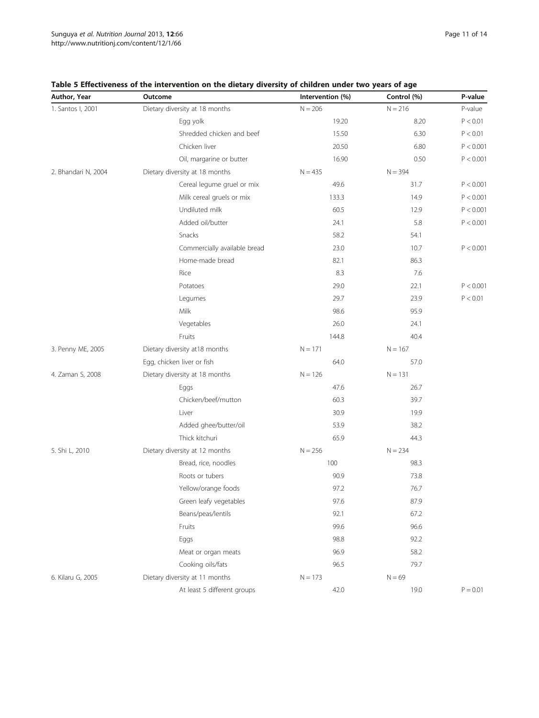| Author, Year        | Outcome                        | Intervention (%) | Control (%) | P-value    |
|---------------------|--------------------------------|------------------|-------------|------------|
| 1. Santos I, 2001   | Dietary diversity at 18 months | $N = 206$        | $N = 216$   | P-value    |
|                     | Egg yolk                       | 19.20            | 8.20        | P < 0.01   |
|                     | Shredded chicken and beef      | 15.50            | 6.30        | P < 0.01   |
|                     | Chicken liver                  | 20.50            | 6.80        | P < 0.001  |
|                     | Oil, margarine or butter       | 16.90            | 0.50        | P < 0.001  |
| 2. Bhandari N, 2004 | Dietary diversity at 18 months | $N = 435$        | $N = 394$   |            |
|                     | Cereal legume gruel or mix     | 49.6             | 31.7        | P < 0.001  |
|                     | Milk cereal gruels or mix      | 133.3            | 14.9        | P < 0.001  |
|                     | Undiluted milk                 | 60.5             | 12.9        | P < 0.001  |
|                     | Added oil/butter               | 24.1             | 5.8         | P < 0.001  |
|                     | Snacks                         | 58.2             | 54.1        |            |
|                     | Commercially available bread   | 23.0             | 10.7        | P < 0.001  |
|                     | Home-made bread                | 82.1             | 86.3        |            |
|                     | Rice                           | 8.3              | 7.6         |            |
|                     | Potatoes                       | 29.0             | 22.1        | P < 0.001  |
|                     | Legumes                        | 29.7             | 23.9        | P < 0.01   |
|                     | Milk                           | 98.6             | 95.9        |            |
|                     | Vegetables                     | 26.0             | 24.1        |            |
|                     | Fruits                         | 144.8            | 40.4        |            |
| 3. Penny ME, 2005   | Dietary diversity at 18 months | $N = 171$        | $N = 167$   |            |
|                     | Egg, chicken liver or fish     | 64.0             | 57.0        |            |
| 4. Zaman S, 2008    | Dietary diversity at 18 months | $N = 126$        | $N = 131$   |            |
|                     | Eggs                           | 47.6             | 26.7        |            |
|                     | Chicken/beef/mutton            | 60.3             | 39.7        |            |
|                     | Liver                          | 30.9             | 19.9        |            |
|                     | Added ghee/butter/oil          | 53.9             | 38.2        |            |
|                     | Thick kitchuri                 | 65.9             | 44.3        |            |
| 5. Shi L, 2010      | Dietary diversity at 12 months | $N = 256$        | $N = 234$   |            |
|                     | Bread, rice, noodles           | 100              | 98.3        |            |
|                     | Roots or tubers                | 90.9             | 73.8        |            |
|                     | Yellow/orange foods            | 97.2             | 76.7        |            |
|                     | Green leafy vegetables         | 97.6             | 87.9        |            |
|                     | Beans/peas/lentils             | 92.1             | 67.2        |            |
|                     | Fruits                         | 99.6             | 96.6        |            |
|                     | Eggs                           | 98.8             | 92.2        |            |
|                     | Meat or organ meats            | 96.9             | 58.2        |            |
|                     | Cooking oils/fats              | 96.5             | 79.7        |            |
| 6. Kilaru G, 2005   | Dietary diversity at 11 months | $N = 173$        | $N = 69$    |            |
|                     | At least 5 different groups    | 42.0             | 19.0        | $P = 0.01$ |

# <span id="page-10-0"></span>Table 5 Effectiveness of the intervention on the dietary diversity of children under two years of age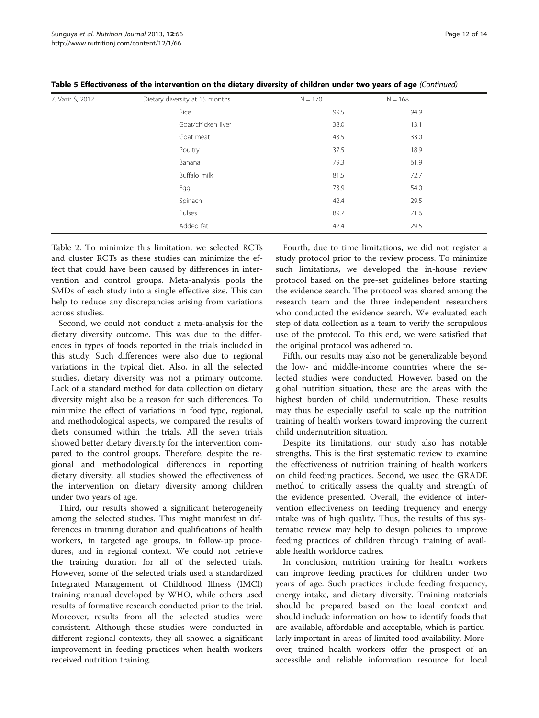| 7. Vazir S, 2012 | Dietary diversity at 15 months | $N = 170$ | $N = 168$ |  |
|------------------|--------------------------------|-----------|-----------|--|
|                  | Rice                           | 99.5      | 94.9      |  |
|                  | Goat/chicken liver             | 38.0      | 13.1      |  |
|                  | Goat meat                      | 43.5      | 33.0      |  |
|                  | Poultry                        | 37.5      | 18.9      |  |
|                  | Banana                         | 79.3      | 61.9      |  |
|                  | Buffalo milk                   | 81.5      | 72.7      |  |
|                  | Egg                            | 73.9      | 54.0      |  |
|                  | Spinach                        | 42.4      | 29.5      |  |
|                  | Pulses                         | 89.7      | 71.6      |  |
|                  | Added fat                      | 42.4      | 29.5      |  |

Table 5 Effectiveness of the intervention on the dietary diversity of children under two years of age (Continued)

Table [2.](#page-5-0) To minimize this limitation, we selected RCTs and cluster RCTs as these studies can minimize the effect that could have been caused by differences in intervention and control groups. Meta-analysis pools the SMDs of each study into a single effective size. This can help to reduce any discrepancies arising from variations across studies.

Second, we could not conduct a meta-analysis for the dietary diversity outcome. This was due to the differences in types of foods reported in the trials included in this study. Such differences were also due to regional variations in the typical diet. Also, in all the selected studies, dietary diversity was not a primary outcome. Lack of a standard method for data collection on dietary diversity might also be a reason for such differences. To minimize the effect of variations in food type, regional, and methodological aspects, we compared the results of diets consumed within the trials. All the seven trials showed better dietary diversity for the intervention compared to the control groups. Therefore, despite the regional and methodological differences in reporting dietary diversity, all studies showed the effectiveness of the intervention on dietary diversity among children under two years of age.

Third, our results showed a significant heterogeneity among the selected studies. This might manifest in differences in training duration and qualifications of health workers, in targeted age groups, in follow-up procedures, and in regional context. We could not retrieve the training duration for all of the selected trials. However, some of the selected trials used a standardized Integrated Management of Childhood Illness (IMCI) training manual developed by WHO, while others used results of formative research conducted prior to the trial. Moreover, results from all the selected studies were consistent. Although these studies were conducted in different regional contexts, they all showed a significant improvement in feeding practices when health workers received nutrition training.

Fourth, due to time limitations, we did not register a study protocol prior to the review process. To minimize such limitations, we developed the in-house review protocol based on the pre-set guidelines before starting the evidence search. The protocol was shared among the research team and the three independent researchers who conducted the evidence search. We evaluated each step of data collection as a team to verify the scrupulous use of the protocol. To this end, we were satisfied that the original protocol was adhered to.

Fifth, our results may also not be generalizable beyond the low- and middle-income countries where the selected studies were conducted. However, based on the global nutrition situation, these are the areas with the highest burden of child undernutrition. These results may thus be especially useful to scale up the nutrition training of health workers toward improving the current child undernutrition situation.

Despite its limitations, our study also has notable strengths. This is the first systematic review to examine the effectiveness of nutrition training of health workers on child feeding practices. Second, we used the GRADE method to critically assess the quality and strength of the evidence presented. Overall, the evidence of intervention effectiveness on feeding frequency and energy intake was of high quality. Thus, the results of this systematic review may help to design policies to improve feeding practices of children through training of available health workforce cadres.

In conclusion, nutrition training for health workers can improve feeding practices for children under two years of age. Such practices include feeding frequency, energy intake, and dietary diversity. Training materials should be prepared based on the local context and should include information on how to identify foods that are available, affordable and acceptable, which is particularly important in areas of limited food availability. Moreover, trained health workers offer the prospect of an accessible and reliable information resource for local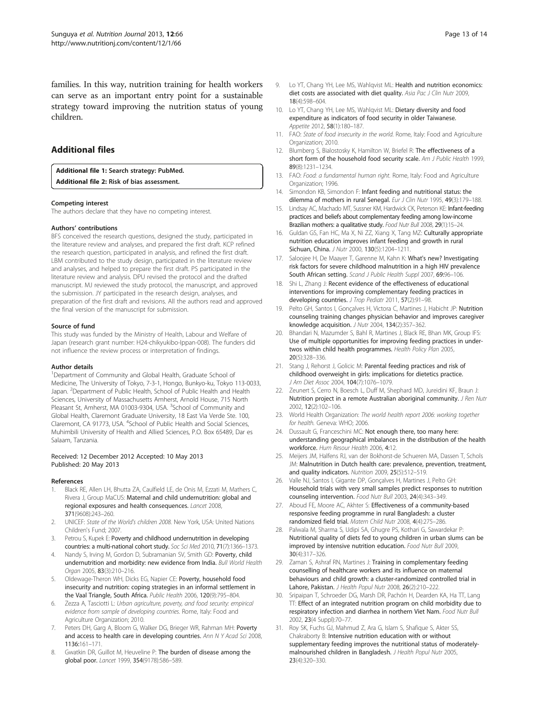<span id="page-12-0"></span>families. In this way, nutrition training for health workers can serve as an important entry point for a sustainable strategy toward improving the nutrition status of young children.

# Additional files

[Additional file 1:](http://www.biomedcentral.com/content/supplementary/1475-2891-12-66-S1.doc) Search strategy: PubMed. [Additional file 2:](http://www.biomedcentral.com/content/supplementary/1475-2891-12-66-S2.doc) Risk of bias assessment.

#### Competing interest

The authors declare that they have no competing interest.

#### Authors' contributions

BFS conceived the research questions, designed the study, participated in the literature review and analyses, and prepared the first draft. KCP refined the research question, participated in analysis, and refined the first draft. LBM contributed to the study design, participated in the literature review and analyses, and helped to prepare the first draft. PS participated in the literature review and analysis. DPU revised the protocol and the drafted manuscript. MJ reviewed the study protocol, the manuscript, and approved the submission. JY participated in the research design, analyses, and preparation of the first draft and revisions. All the authors read and approved the final version of the manuscript for submission.

#### Source of fund

This study was funded by the Ministry of Health, Labour and Welfare of Japan (research grant number: H24-chikyukibo-Ippan-008). The funders did not influence the review process or interpretation of findings.

#### Author details

<sup>1</sup>Department of Community and Global Health, Graduate School of Medicine, The University of Tokyo, 7-3-1, Hongo, Bunkyo-ku, Tokyo 113-0033, Japan. <sup>2</sup> Department of Public Health, School of Public Health and Health Sciences, University of Massachusetts Amherst, Arnold House, 715 North Pleasant St, Amherst, MA 01003-9304, USA. <sup>3</sup>School of Community and Global Health, Claremont Graduate University, 18 East Via Verde Ste. 100, Claremont, CA 91773, USA. <sup>4</sup>School of Public Health and Social Sciences, Muhimbili University of Health and Allied Sciences, P.O. Box 65489, Dar es Salaam, Tanzania.

#### Received: 12 December 2012 Accepted: 10 May 2013 Published: 20 May 2013

#### References

- 1. Black RE, Allen LH, Bhutta ZA, Caulfield LE, de Onis M, Ezzati M, Mathers C, Rivera J, Group MaCUS: Maternal and child undernutrition: global and regional exposures and health consequences. Lancet 2008, 371(9608):243–260.
- 2. UNICEF: State of the World's children 2008. New York, USA: United Nations Children's Fund; 2007.
- 3. Petrou S, Kupek E: Poverty and childhood undernutrition in developing countries: a multi-national cohort study. Soc Sci Med 2010, 71(7):1366–1373.
- 4. Nandy S, Irving M, Gordon D, Subramanian SV, Smith GD: Poverty, child undernutrition and morbidity: new evidence from India. Bull World Health Organ 2005, 83(3):210–216.
- Oldewage-Theron WH, Dicks EG, Napier CE: Poverty, household food insecurity and nutrition: coping strategies in an informal settlement in the Vaal Triangle, South Africa. Public Health 2006, 120(9):795–804.
- 6. Zezza A, Tasciotti L: Urban agriculture, poverty, and food security: empirical evidence from sample of developing countries. Rome, Italy: Food and Agriculture Organization; 2010.
- 7. Peters DH, Garg A, Bloom G, Walker DG, Brieger WR, Rahman MH: Poverty and access to health care in developing countries. Ann N Y Acad Sci 2008, 1136:161–171.
- 8. Gwatkin DR, Guillot M, Heuveline P: The burden of disease among the global poor. Lancet 1999, 354(9178):586–589.
- Lo YT, Chang YH, Lee MS, Wahlqvist ML: Health and nutrition economics: diet costs are associated with diet quality. Asia Pac J Clin Nutr 2009, 18(4):598–604.
- 10. Lo YT, Chang YH, Lee MS, Wahlgvist ML: Dietary diversity and food expenditure as indicators of food security in older Taiwanese. Appetite 2012, 58(1):180–187.
- 11. FAO: State of food insecurity in the world. Rome, Italy: Food and Agriculture Organization; 2010.
- 12. Blumberg S, Bialostosky K, Hamilton W, Briefel R: The effectiveness of a short form of the household food security scale. Am J Public Health 1999, 89(8):1231–1234.
- 13. FAO: Food: a fundamental human right. Rome, Italy: Food and Agriculture Organization; 1996.
- 14. Simondon KB, Simondon F: Infant feeding and nutritional status: the dilemma of mothers in rural Senegal. Eur J Clin Nutr 1995, 49(3):179-188.
- 15. Lindsay AC, Machado MT, Sussner KM, Hardwick CK, Peterson KE: Infant-feeding practices and beliefs about complementary feeding among low-income Brazilian mothers: a qualitative study. Food Nutr Bull 2008, 29(1):15-24.
- 16. Guldan GS, Fan HC, Ma X, Ni ZZ, Xiang X, Tang MZ: Culturally appropriate nutrition education improves infant feeding and growth in rural Sichuan, China. J Nutr 2000, 130(5):1204–1211.
- 17. Saloojee H, De Maayer T, Garenne M, Kahn K: What's new? Investigating risk factors for severe childhood malnutrition in a high HIV prevalence South African setting. Scand J Public Health Suppl 2007, 69:96-106.
- 18. Shi L, Zhang J: Recent evidence of the effectiveness of educational interventions for improving complementary feeding practices in developing countries. J Trop Pediatr 2011, 57(2):91-98.
- 19. Pelto GH, Santos I, Gonçalves H, Victora C, Martines J, Habicht JP: Nutrition counseling training changes physician behavior and improves caregiver knowledge acquisition. J Nutr 2004, 134(2):357–362.
- 20. Bhandari N, Mazumder S, Bahl R, Martines J, Black RE, Bhan MK, Group IFS: Use of multiple opportunities for improving feeding practices in undertwos within child health programmes. Health Policy Plan 2005, 20(5):328–336.
- 21. Stang J, Rehorst J, Golicic M: Parental feeding practices and risk of childhood overweight in girls: implications for dietetics practice. J Am Diet Assoc 2004, 104(7):1076–1079.
- 22. Zeunert S, Cerro N, Boesch L, Duff M, Shephard MD, Jureidini KF, Braun J: Nutrition project in a remote Australian aboriginal community. J Ren Nutr 2002, 12(2):102–106.
- 23. World Health Organization: The world health report 2006: working together for health. Geneva: WHO; 2006.
- 24. Dussault G, Franceschini MC: Not enough there, too many here: understanding geographical imbalances in the distribution of the health workforce. Hum Resour Health 2006, 4:12.
- 25. Meijers JM, Halfens RJ, van der Bokhorst-de Schueren MA, Dassen T, Schols JM: Malnutrition in Dutch health care: prevalence, prevention, treatment, and quality indicators. Nutrition 2009, 25(5):512–519.
- 26. Valle NJ, Santos I, Gigante DP, Gonçalves H, Martines J, Pelto GH: Household trials with very small samples predict responses to nutrition counseling intervention. Food Nutr Bull 2003, 24(4):343–349.
- 27. Aboud FE, Moore AC, Akhter S: Effectiveness of a community-based responsive feeding programme in rural Bangladesh: a cluster randomized field trial. Matern Child Nutr 2008, 4(4):275–286.
- 28. Palwala M, Sharma S, Udipi SA, Ghugre PS, Kothari G, Sawardekar P: Nutritional quality of diets fed to young children in urban slums can be improved by intensive nutrition education. Food Nutr Bull 2009, 30(4):317–326.
- 29. Zaman S, Ashraf RN, Martines J: Training in complementary feeding counselling of healthcare workers and its influence on maternal behaviours and child growth: a cluster-randomized controlled trial in Lahore, Pakistan. J Health Popul Nutr 2008, 26(2):210–222.
- 30. Sripaipan T, Schroeder DG, Marsh DR, Pachón H, Dearden KA, Ha TT, Lang  $\Pi$ : Effect of an integrated nutrition program on child morbidity due to respiratory infection and diarrhea in northern Viet Nam. Food Nutr Bull 2002, 23(4 Suppl):70–77.
- 31. Roy SK, Fuchs GJ, Mahmud Z, Ara G, Islam S, Shafique S, Akter SS, Chakraborty B: Intensive nutrition education with or without supplementary feeding improves the nutritional status of moderatelymalnourished children in Bangladesh. J Health Popul Nutr 2005, 23(4):320–330.